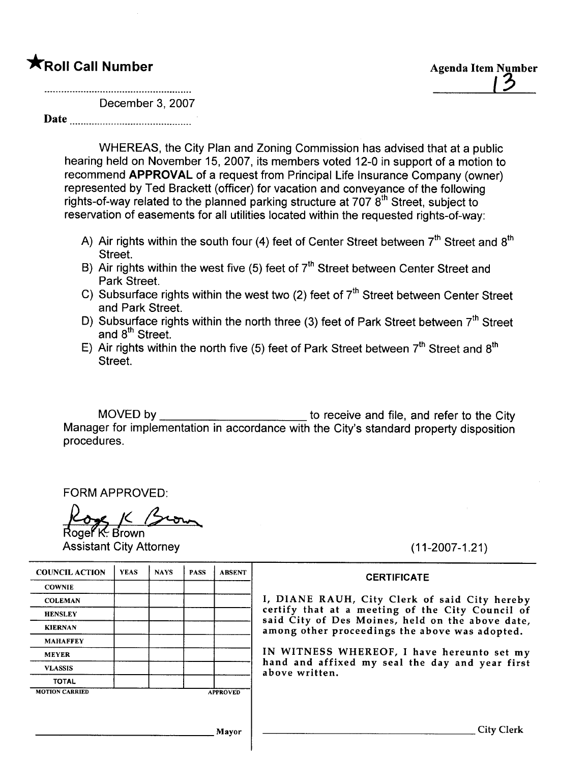## **The Second Call Number Agents Controlled Agents Agents Agents Agents Agents Agents Agents Agents Agents Agents Agents Agents Agents Agents Agents Agents Agents Agents Agents Agents Agents Agents Agents Agents Agents Agent**

December 3, 2007

Date

WHEREAS, the City Plan and Zoning Commission has advised that at a public hearing held on November 15, 2007, its members voted 12-0 in support of a motion to recommend APPROVAL of a request from Principal Life Insurance Company (owner) represented by Ted Brackett (officer) for vacation and conveyance of the following rights-of-way related to the planned parking structure at  $707.8<sup>th</sup>$  Street, subject to reservation of easements for all utilities located within the requested rights-of-way:

- A) Air rights within the south four (4) feet of Center Street between  $7<sup>th</sup>$  Street and  $8<sup>th</sup>$ Street.
- B) Air rights within the west five (5) feet of  $7<sup>th</sup>$  Street between Center Street and Park Street.
- C) Subsurface rights within the west two (2) feet of  $7<sup>th</sup>$  Street between Center Street and Park Street.
- D) Subsurface rights within the north three (3) feet of Park Street between  $7<sup>th</sup>$  Street and 8<sup>th</sup> Street.
- E) Air rights within the north five (5) feet of Park Street between  $7<sup>th</sup>$  Street and  $8<sup>th</sup>$ Street.

MOVED by <u>the subsequential contract to receive and file</u>, and refer to the City Manager for implementation in accordance with the City's standard property disposition procedures.

FORM APPROVED:

FORM APPROVED:<br>Roger K: Brown

Assistant City Attorney (11-2007-1.21)

# COUNCIL ACTION YEAS NAYS PASS ABSENT CERTIFICATE **COWNIE** MAHAFFEY VLASSIS TOTAL MOTION CARRIED APPROVED

COLEMAN **I, DIANE RAUH, City Clerk of said City hereby** HENSLEY **EXAMPLE CONSTRUCTED** CERTIFY that at a meeting of the City Council of said City of Des Moines, held on the above date, KIERNAN **among other proceedings** the above was adopted.

MEYER **IN WITNESS WHEREOF**, I have hereunto set my hand and affixed my seal the day and year first above written.

Mayor City Clerk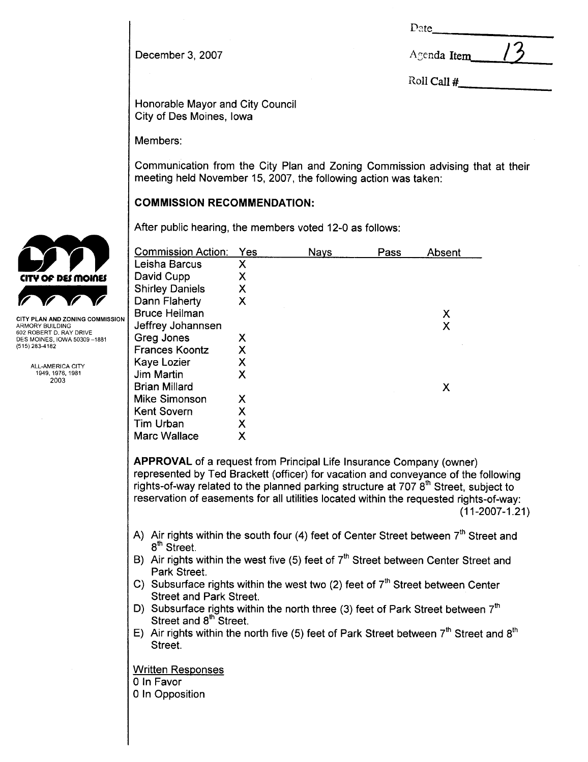D2te

| December 3, 2007 | Agenda Item |
|------------------|-------------|
|                  |             |

Roll Call #

Honorable Mayor and City Council City of Des Moines, Iowa

Members:

Communication from the City Plan and Zoning Commission advising that at their meeting held November 15, 2007, the following action was taken:

### COMMISSION RECOMMENDATION:

After public hearing, the members voted 12-0 as follows:

| <b>Commission Action:</b> | Yes | <b>Nays</b> | Pass | Absent |
|---------------------------|-----|-------------|------|--------|
| Leisha Barcus             | Χ   |             |      |        |
| David Cupp                | Χ   |             |      |        |
| <b>Shirley Daniels</b>    | Χ   |             |      |        |
| Dann Flaherty             | Χ   |             |      |        |
| <b>Bruce Heilman</b>      |     |             |      | Х      |
| Jeffrey Johannsen         |     |             |      | Χ      |
| Greg Jones                | х   |             |      |        |
| <b>Frances Koontz</b>     | Χ   |             |      |        |
| Kaye Lozier               | Χ   |             |      |        |
| Jim Martin                | X   |             |      |        |
| <b>Brian Millard</b>      |     |             |      | X      |
| Mike Simonson             | Χ   |             |      |        |
| <b>Kent Sovern</b>        | Χ   |             |      |        |
| <b>Tim Urban</b>          | Χ   |             |      |        |
| <b>Marc Wallace</b>       | Χ   |             |      |        |

APPROVAL of a request from Principal Life Insurance Company (owner) represented by Ted Brackett (officer) for vacation and conveyance of the following rights-of-way related to the planned parking structure at 707  $8<sup>th</sup>$  Street, subject to reservation of easements for all utilities located within the requested rights-of-way: (11-2007-1.21)

- A) Air rights within the south four (4) feet of Center Street between  $7<sup>th</sup>$  Street and 8<sup>th</sup> Street.
- B) Air rights within the west five (5) feet of  $7<sup>th</sup>$  Street between Center Street and Park Street.
- C) Subsurface rights within the west two (2) feet of  $7<sup>th</sup>$  Street between Center Street and Park Street.
- D) Subsurface rights within the north three (3) feet of Park Street between  $7<sup>th</sup>$ Street and 8<sup>th</sup> Street.
- E) Air rights within the north five (5) feet of Park Street between  $7<sup>th</sup>$  Street and  $8<sup>th</sup>$ Street.

Written Responses o In Favor o In Opposition



CITY PLAN AND ZONING COMMISSION ARMORY BUILDING 602 ROBERT D. RAY DRIVE DES MOINES, IOWA 50309 -1881 (515) 283-4182

> ALL-AMERICA CITY 1949,1976,1981 2003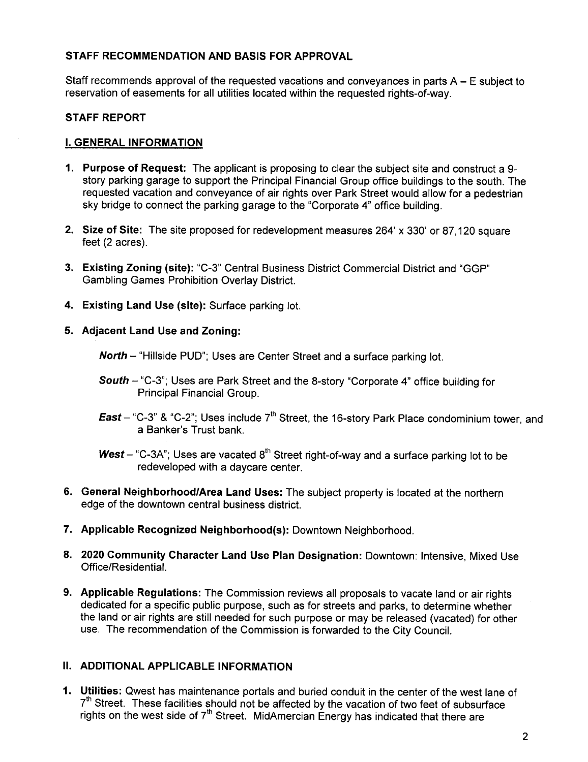#### STAFF RECOMMENDATION AND BASIS FOR APPROVAL

Staff recommends approval of the requested vacations and conveyances in parts A - E subject to reservation of easements for all utilities located within the requested rights-of-way,

#### STAFF REPORT

#### i. GENERAL INFORMATION

- 1. Purpose of Request: The applicant is proposing to clear the subject site and construct a 9 story parking garage to support the Principal Financial Group office buildings to the south. The requested vacation and conveyance of air rights over Park Street would allow for a pedestrian sky bridge to connect the parking garage to the "Corporate 4" office building.
- 2. Size of Site: The site proposed for redevelopment measures 264' x 330' or 87,120 square feet (2 acres).
- 3. Existing Zoning (site): "C-3" Central Business District Commercial District and "GGP" Gambling Games Prohibition Overlay District.
- 4. Existing Land Use (site): Surface parking lot.

#### 5. Adjacent Land Use and Zoning:

North - "Hillside PUD"; Uses are Center Street and a surface parking lot.

- South "C-3"; Uses are Park Street and the 8-story "Corporate 4" office building for Principal Financial Group.
- **East** "C-3" & "C-2"; Uses include  $7<sup>th</sup>$  Street, the 16-story Park Place condominium tower, and a Banker's Trust bank.
- West "C-3A"; Uses are vacated  $8<sup>th</sup>$  Street right-of-way and a surface parking lot to be redeveloped with a daycare center.
- 6. General Neighborhood/Area Land Uses: The subject property is located at the northern edge of the downtown central business district.
- 7. Applicable Recognized Neighborhood(s): Downtown Neighborhood.
- 8. 2020 Community Character Land Use Plan Designation: Downtown: Intensive, Mixed Use Office/Residential.
- 9. Applicable Regulations: The Commission reviews all proposals to vacate land or air rights dedicated for a specific public purpose, such as for streets and parks, to determine whether the land or air rights are still needed for such purpose or may be released (vacated) for other use. The recommendation of the Commission is forwarded to the City CounciL.

#### II. ADDITIONAL APPLICABLE INFORMATION

1. Utilities: Qwest has maintenance portals and buried conduit in the center of the west lane of  $7<sup>th</sup>$  Street. These facilities should not be affected by the vacation of two feet of subsurface rights on the west side of  $7<sup>th</sup>$  Street. MidAmercian Energy has indicated that there are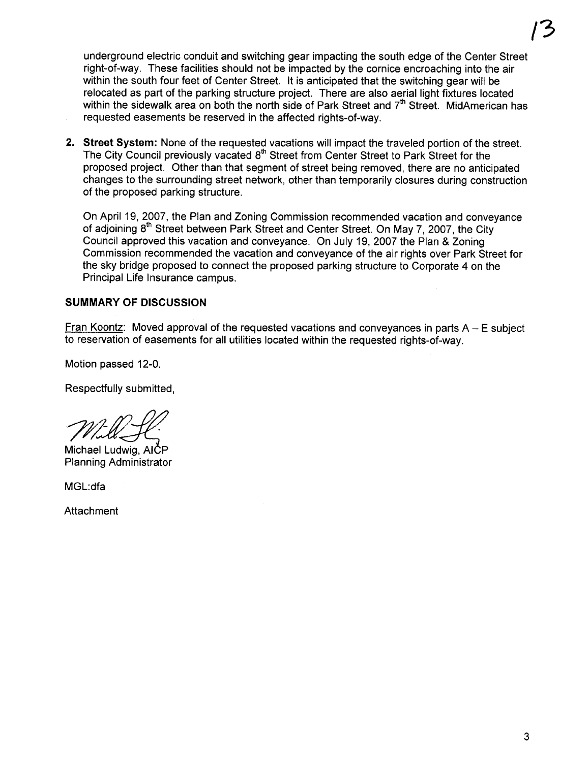underground electric conduit and switching gear impacting the south edge of the Center Street right-of-way. These facilities should not be impacted by the cornice encroaching into the air within the south four feet of Center Street. It is anticipated that the switching gear will be relocated as part of the parking structure project. There are also aerial light fixtures located within the sidewalk area on both the north side of Park Street and  $7<sup>th</sup>$  Street. MidAmerican has requested easements be reserved in the affected rights-of-way.

2. Street System: None of the requested vacations will impact the traveled portion of the street. The City Council previously vacated 8<sup>th</sup> Street from Center Street to Park Street for the proposed project. Other than that segment of street being removed, there are no anticipated changes to the surrounding street network, other than temporarily closures during construction of the proposed parking structure.

On April 19, 2007, the Plan and Zoning Commission recommended vacation and conveyance of adjoining 8<sup>th</sup> Street between Park Street and Center Street. On May 7, 2007, the City Council approved this vacation and conveyance. On July 19, 2007 the Plan & Zoning Commission recommended the vacation and conveyance of the air rights over Park Street for the sky bridge proposed to connect the proposed parking structure to Corporate 4 on the Principal Life Insurance campus.

#### SUMMARY OF DISCUSSION

Fran Koontz: Moved approval of the requested vacations and convevances in parts  $A - E$  subject to reservation of easements for all utilities located within the requested rights-of-way.

Motion passed 12-0.

Respectfully submitted,

Michael Ludwig, AICP Planning Administrator

MGL:dfa

Attachment